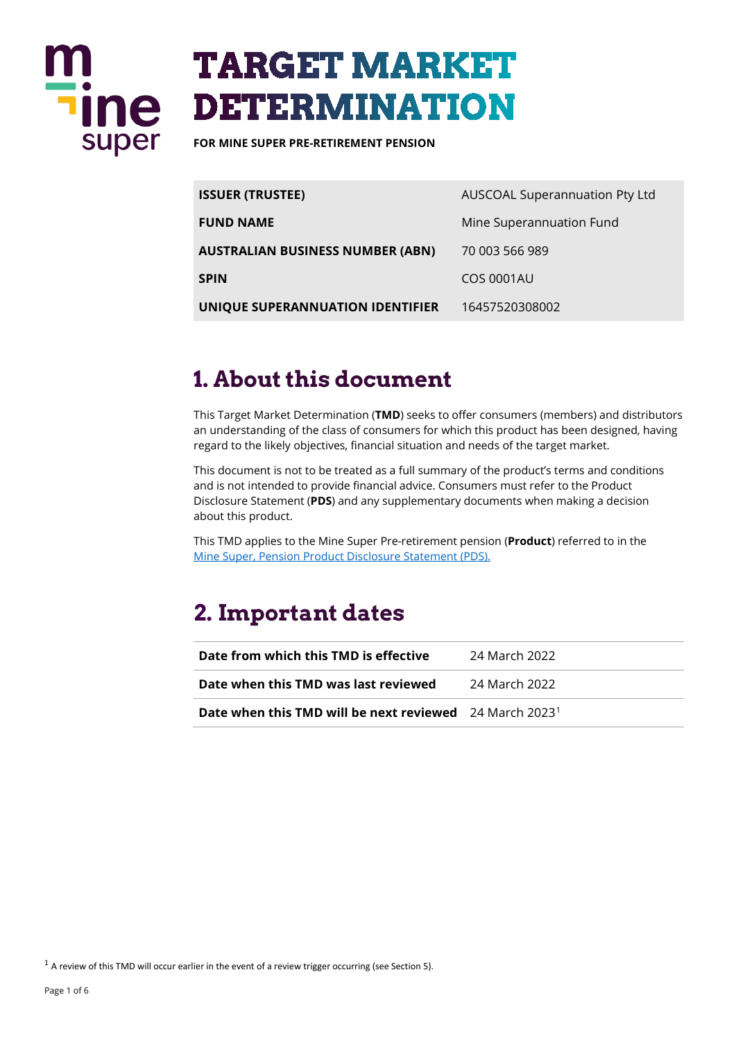

# **TARGET MARKET DETERMINATION**

**FOR MINE SUPER PRE-RETIREMENT PENSION** 

| <b>ISSUER (TRUSTEE)</b>          | AUSCOAL Superannuation Pty Ltd |
|----------------------------------|--------------------------------|
| <b>FUND NAME</b>                 | Mine Superannuation Fund       |
| AUSTRALIAN BUSINESS NUMBER (ABN) | 70 003 566 989                 |
| SPIN                             | <b>COS 0001AU</b>              |
| UNIQUE SUPERANNUATION IDENTIFIER | 16457520308002                 |

### **1. About this document**

This Target Market Determination (**TMD**) seeks to offer consumers (members) and distributors an understanding of the class of consumers for which this product has been designed, having regard to the likely objectives, financial situation and needs of the target market.

This document is not to be treated as a full summary of the product's terms and conditions and is not intended to provide financial advice. Consumers must refer to the Product Disclosure Statement (**PDS**) and any supplementary documents when making a decision about this product.

This TMD applies to the Mine Super Pre-retirement pension (**Product**) referred to in the [Mine Super, Pension Product Disclosure Statement \(PDS\).](https://www.mine.com.au/docs/default-source/publications/pension-pds.pdf)

### **2. Important dates**

| Date from which this TMD is effective                                      | - 24 March 2022 |
|----------------------------------------------------------------------------|-----------------|
| Date when this TMD was last reviewed                                       | - 24 March 2022 |
| <b>Date when this TMD will be next reviewed</b> 24 March 2023 <sup>1</sup> |                 |

<span id="page-0-0"></span> $1$  A review of this TMD will occur earlier in the event of a review trigger occurring (see Section 5).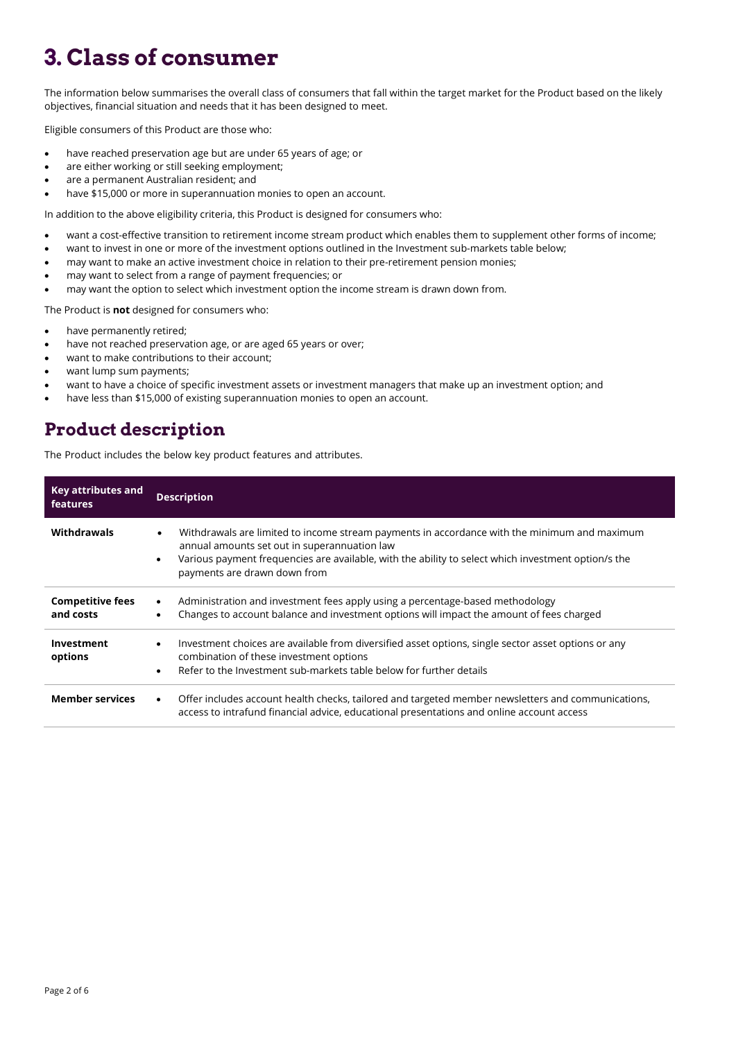## **3. Class of consumer**

The information below summarises the overall class of consumers that fall within the target market for the Product based on the likely objectives, financial situation and needs that it has been designed to meet.

Eligible consumers of this Product are those who:

- have reached preservation age but are under 65 years of age; or
- are either working or still seeking employment;
- are a permanent Australian resident; and
- have \$15,000 or more in superannuation monies to open an account.

In addition to the above eligibility criteria, this Product is designed for consumers who:

- want a cost-effective transition to retirement income stream product which enables them to supplement other forms of income;
- want to invest in one or more of the investment options outlined in the Investment sub-markets table below;
- may want to make an active investment choice in relation to their pre-retirement pension monies;
- may want to select from a range of payment frequencies; or
- may want the option to select which investment option the income stream is drawn down from.

The Product is **not** designed for consumers who:

- have permanently retired;
- have not reached preservation age, or are aged 65 years or over;
- want to make contributions to their account;
- want lump sum payments;
- want to have a choice of specific investment assets or investment managers that make up an investment option; and
- have less than \$15,000 of existing superannuation monies to open an account.

#### **Product description**

The Product includes the below key product features and attributes.

| Key attributes and<br>features       | <b>Description</b>                                                                                                                                                                                                                                                                                            |  |
|--------------------------------------|---------------------------------------------------------------------------------------------------------------------------------------------------------------------------------------------------------------------------------------------------------------------------------------------------------------|--|
| Withdrawals                          | Withdrawals are limited to income stream payments in accordance with the minimum and maximum<br>$\bullet$<br>annual amounts set out in superannuation law<br>Various payment frequencies are available, with the ability to select which investment option/s the<br>$\bullet$<br>payments are drawn down from |  |
| <b>Competitive fees</b><br>and costs | Administration and investment fees apply using a percentage-based methodology<br>$\bullet$<br>Changes to account balance and investment options will impact the amount of fees charged<br>$\bullet$                                                                                                           |  |
| Investment<br>options                | Investment choices are available from diversified asset options, single sector asset options or any<br>$\bullet$<br>combination of these investment options<br>Refer to the Investment sub-markets table below for further details<br>$\bullet$                                                               |  |
| <b>Member services</b>               | Offer includes account health checks, tailored and targeted member newsletters and communications,<br>$\bullet$<br>access to intrafund financial advice, educational presentations and online account access                                                                                                  |  |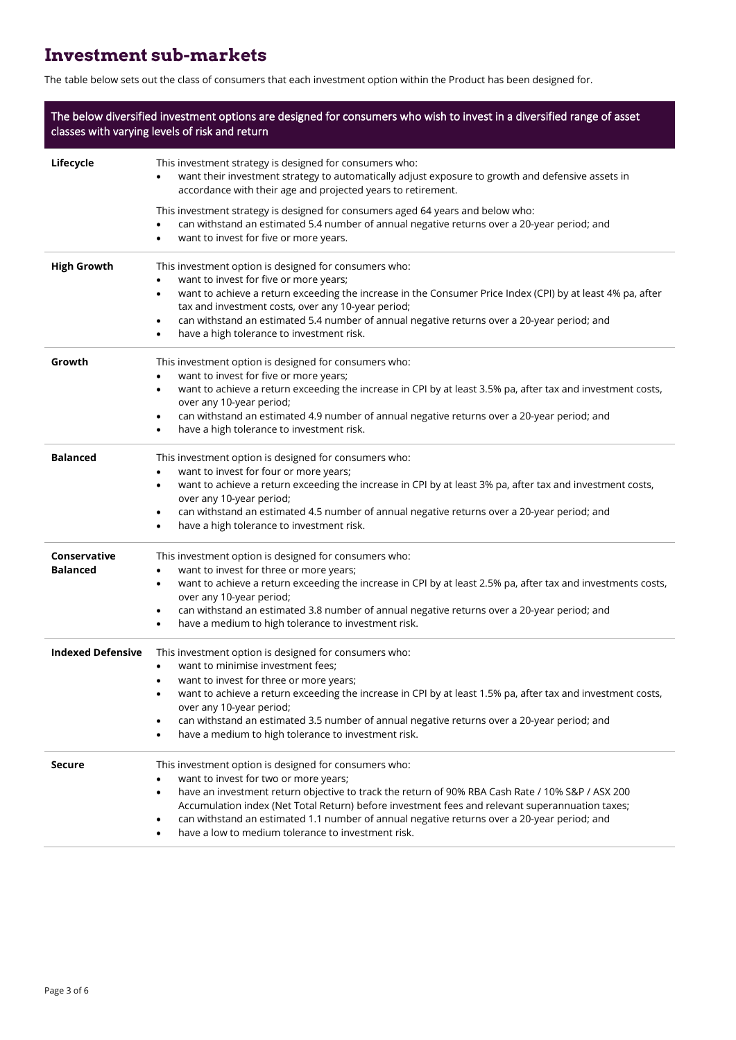### **Investment sub-markets**

The table below sets out the class of consumers that each investment option within the Product has been designed for.

| The below diversified investment options are designed for consumers who wish to invest in a diversified range of asset<br>classes with varying levels of risk and return |                                                                                                                                                                                                                                                                                                                                                                                                                                                                                   |  |
|--------------------------------------------------------------------------------------------------------------------------------------------------------------------------|-----------------------------------------------------------------------------------------------------------------------------------------------------------------------------------------------------------------------------------------------------------------------------------------------------------------------------------------------------------------------------------------------------------------------------------------------------------------------------------|--|
| Lifecycle                                                                                                                                                                | This investment strategy is designed for consumers who:<br>want their investment strategy to automatically adjust exposure to growth and defensive assets in<br>accordance with their age and projected years to retirement.                                                                                                                                                                                                                                                      |  |
|                                                                                                                                                                          | This investment strategy is designed for consumers aged 64 years and below who:<br>can withstand an estimated 5.4 number of annual negative returns over a 20-year period; and<br>want to invest for five or more years.<br>٠                                                                                                                                                                                                                                                     |  |
| <b>High Growth</b>                                                                                                                                                       | This investment option is designed for consumers who:<br>want to invest for five or more years;<br>٠<br>want to achieve a return exceeding the increase in the Consumer Price Index (CPI) by at least 4% pa, after<br>$\bullet$<br>tax and investment costs, over any 10-year period;<br>can withstand an estimated 5.4 number of annual negative returns over a 20-year period; and<br>$\bullet$<br>have a high tolerance to investment risk.<br>$\bullet$                       |  |
| Growth                                                                                                                                                                   | This investment option is designed for consumers who:<br>want to invest for five or more years;<br>$\bullet$<br>want to achieve a return exceeding the increase in CPI by at least 3.5% pa, after tax and investment costs,<br>$\bullet$<br>over any 10-year period;<br>can withstand an estimated 4.9 number of annual negative returns over a 20-year period; and<br>$\bullet$<br>have a high tolerance to investment risk.<br>٠                                                |  |
| <b>Balanced</b>                                                                                                                                                          | This investment option is designed for consumers who:<br>want to invest for four or more years;<br>$\bullet$<br>want to achieve a return exceeding the increase in CPI by at least 3% pa, after tax and investment costs,<br>$\bullet$<br>over any 10-year period;<br>can withstand an estimated 4.5 number of annual negative returns over a 20-year period; and<br>$\bullet$<br>have a high tolerance to investment risk.<br>$\bullet$                                          |  |
| Conservative<br>Balanced                                                                                                                                                 | This investment option is designed for consumers who:<br>want to invest for three or more years;<br>$\bullet$<br>want to achieve a return exceeding the increase in CPI by at least 2.5% pa, after tax and investments costs,<br>$\bullet$<br>over any 10-year period;<br>can withstand an estimated 3.8 number of annual negative returns over a 20-year period; and<br>$\bullet$<br>have a medium to high tolerance to investment risk.<br>$\bullet$                            |  |
| <b>Indexed Defensive</b>                                                                                                                                                 | This investment option is designed for consumers who:<br>want to minimise investment fees;<br>want to invest for three or more years;<br>want to achieve a return exceeding the increase in CPI by at least 1.5% pa, after tax and investment costs,<br>٠<br>over any 10-year period;<br>can withstand an estimated 3.5 number of annual negative returns over a 20-year period; and<br>٠<br>have a medium to high tolerance to investment risk.<br>$\bullet$                     |  |
| <b>Secure</b>                                                                                                                                                            | This investment option is designed for consumers who:<br>want to invest for two or more years;<br>$\bullet$<br>have an investment return objective to track the return of 90% RBA Cash Rate / 10% S&P / ASX 200<br>٠<br>Accumulation index (Net Total Return) before investment fees and relevant superannuation taxes;<br>can withstand an estimated 1.1 number of annual negative returns over a 20-year period; and<br>٠<br>have a low to medium tolerance to investment risk. |  |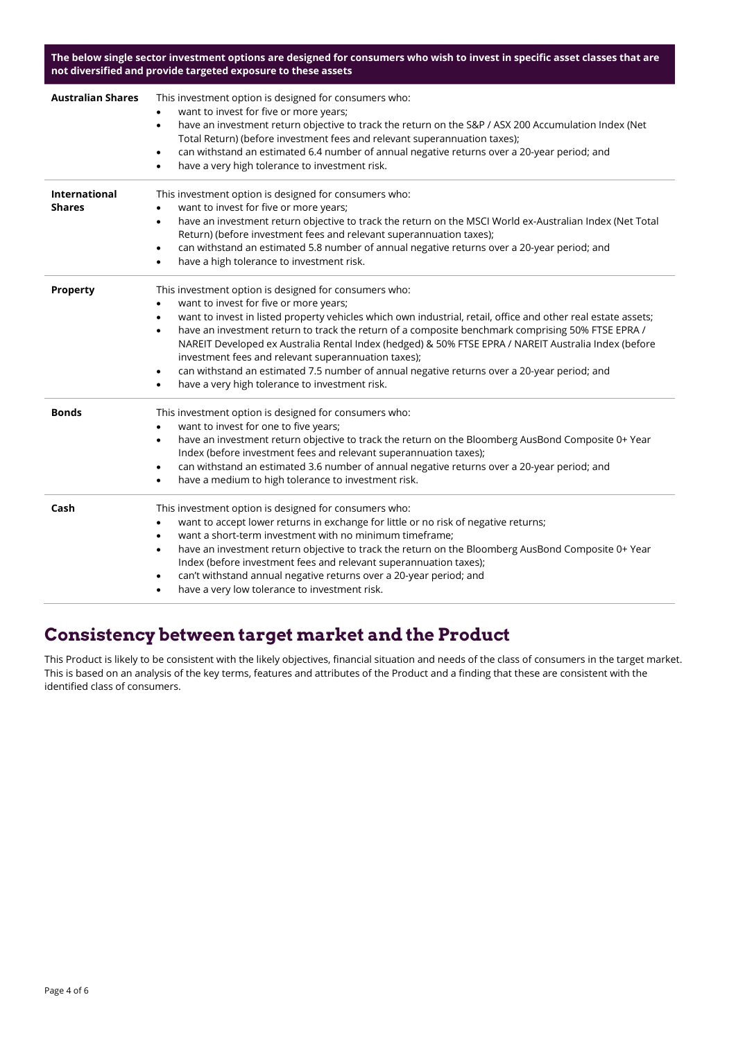**The below single sector investment options are designed for consumers who wish to invest in specific asset classes that are not diversified and provide targeted exposure to these assets**

| <b>Australian Shares</b>              | This investment option is designed for consumers who:<br>want to invest for five or more years;<br>have an investment return objective to track the return on the S&P / ASX 200 Accumulation Index (Net<br>$\bullet$<br>Total Return) (before investment fees and relevant superannuation taxes);<br>can withstand an estimated 6.4 number of annual negative returns over a 20-year period; and<br>$\bullet$<br>have a very high tolerance to investment risk.<br>٠                                                                                                                                                                                                                                   |
|---------------------------------------|--------------------------------------------------------------------------------------------------------------------------------------------------------------------------------------------------------------------------------------------------------------------------------------------------------------------------------------------------------------------------------------------------------------------------------------------------------------------------------------------------------------------------------------------------------------------------------------------------------------------------------------------------------------------------------------------------------|
| <b>International</b><br><b>Shares</b> | This investment option is designed for consumers who:<br>want to invest for five or more years;<br>$\bullet$<br>have an investment return objective to track the return on the MSCI World ex-Australian Index (Net Total<br>$\bullet$<br>Return) (before investment fees and relevant superannuation taxes);<br>can withstand an estimated 5.8 number of annual negative returns over a 20-year period; and<br>$\bullet$<br>have a high tolerance to investment risk.<br>$\bullet$                                                                                                                                                                                                                     |
| <b>Property</b>                       | This investment option is designed for consumers who:<br>want to invest for five or more years;<br>$\bullet$<br>want to invest in listed property vehicles which own industrial, retail, office and other real estate assets;<br>$\bullet$<br>have an investment return to track the return of a composite benchmark comprising 50% FTSE EPRA /<br>$\bullet$<br>NAREIT Developed ex Australia Rental Index (hedged) & 50% FTSE EPRA / NAREIT Australia Index (before<br>investment fees and relevant superannuation taxes);<br>can withstand an estimated 7.5 number of annual negative returns over a 20-year period; and<br>$\bullet$<br>have a very high tolerance to investment risk.<br>$\bullet$ |
| <b>Bonds</b>                          | This investment option is designed for consumers who:<br>want to invest for one to five years;<br>$\bullet$<br>have an investment return objective to track the return on the Bloomberg AusBond Composite 0+ Year<br>٠<br>Index (before investment fees and relevant superannuation taxes);<br>can withstand an estimated 3.6 number of annual negative returns over a 20-year period; and<br>$\bullet$<br>have a medium to high tolerance to investment risk.<br>$\bullet$                                                                                                                                                                                                                            |
| Cash                                  | This investment option is designed for consumers who:<br>want to accept lower returns in exchange for little or no risk of negative returns;<br>$\bullet$<br>want a short-term investment with no minimum timeframe;<br>$\bullet$<br>have an investment return objective to track the return on the Bloomberg AusBond Composite 0+ Year<br>٠<br>Index (before investment fees and relevant superannuation taxes);<br>can't withstand annual negative returns over a 20-year period; and<br>$\bullet$<br>have a very low tolerance to investment risk.                                                                                                                                                  |

#### **Consistency between target market and the Product**

This Product is likely to be consistent with the likely objectives, financial situation and needs of the class of consumers in the target market. This is based on an analysis of the key terms, features and attributes of the Product and a finding that these are consistent with the identified class of consumers.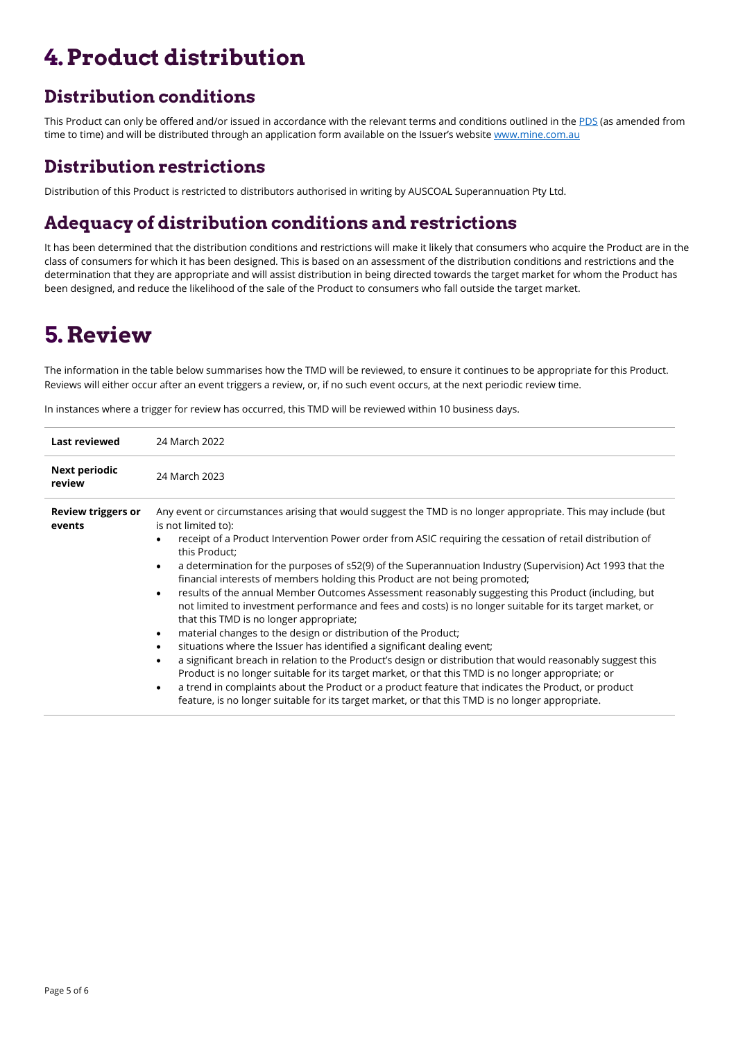# **4.Product distribution**

### **Distribution conditions**

This Product can only be offered and/or issued in accordance with the relevant terms and conditions outlined in the [PDS](https://www.mine.com.au/docs/default-source/publications/pension-pds.pdf) (as amended from time to time) and will be distributed through an application form available on the Issuer's website [www.mine.com.au](http://www.mine.com.au/)

#### **Distribution restrictions**

Distribution of this Product is restricted to distributors authorised in writing by AUSCOAL Superannuation Pty Ltd.

### **Adequacy of distribution conditions and restrictions**

It has been determined that the distribution conditions and restrictions will make it likely that consumers who acquire the Product are in the class of consumers for which it has been designed. This is based on an assessment of the distribution conditions and restrictions and the determination that they are appropriate and will assist distribution in being directed towards the target market for whom the Product has been designed, and reduce the likelihood of the sale of the Product to consumers who fall outside the target market.

### **5. Review**

The information in the table below summarises how the TMD will be reviewed, to ensure it continues to be appropriate for this Product. Reviews will either occur after an event triggers a review, or, if no such event occurs, at the next periodic review time.

**Last reviewed** 24 March 2022 **Next periodic review** 24 March 2023 **Review triggers or events** Any event or circumstances arising that would suggest the TMD is no longer appropriate. This may include (but is not limited to):   • receipt of a Product Intervention Power order from ASIC requiring the cessation of retail distribution of this Product; • a determination for the purposes of s52(9) of the Superannuation Industry (Supervision) Act 1993 that the financial interests of members holding this Product are not being promoted; • results of the annual Member Outcomes Assessment reasonably suggesting this Product (including, but not limited to investment performance and fees and costs) is no longer suitable for its target market, or that this TMD is no longer appropriate; • material changes to the design or distribution of the Product; • situations where the Issuer has identified a significant dealing event; • a significant breach in relation to the Product's design or distribution that would reasonably suggest this Product is no longer suitable for its target market, or that this TMD is no longer appropriate; or a trend in complaints about the Product or a product feature that indicates the Product, or product feature, is no longer suitable for its target market, or that this TMD is no longer appropriate.

In instances where a trigger for review has occurred, this TMD will be reviewed within 10 business days.